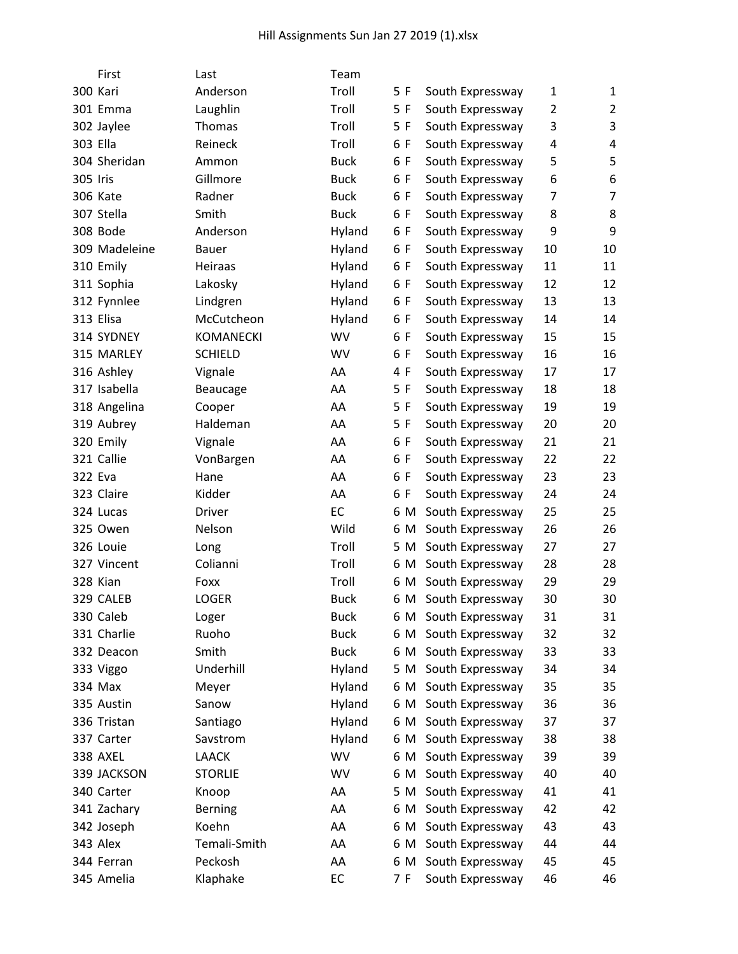| First         | Last             | Team        |     |                  |                |                |
|---------------|------------------|-------------|-----|------------------|----------------|----------------|
| 300 Kari      | Anderson         | Troll       | 5 F | South Expressway | 1              | $\mathbf{1}$   |
| 301 Emma      | Laughlin         | Troll       | 5 F | South Expressway | 2              | $\overline{2}$ |
| 302 Jaylee    | Thomas           | Troll       | 5 F | South Expressway | 3              | 3              |
| 303 Ella      | Reineck          | Troll       | 6 F | South Expressway | 4              | 4              |
| 304 Sheridan  | Ammon            | <b>Buck</b> | 6 F | South Expressway | 5              | 5              |
| 305 Iris      | Gillmore         | <b>Buck</b> | 6 F | South Expressway | 6              | 6              |
| 306 Kate      | Radner           | <b>Buck</b> | 6 F | South Expressway | $\overline{7}$ | $\overline{7}$ |
| 307 Stella    | Smith            | <b>Buck</b> | 6 F | South Expressway | 8              | 8              |
| 308 Bode      | Anderson         | Hyland      | 6 F | South Expressway | 9              | 9              |
| 309 Madeleine | Bauer            | Hyland      | 6 F | South Expressway | 10             | 10             |
| 310 Emily     | Heiraas          | Hyland      | 6 F | South Expressway | 11             | 11             |
| 311 Sophia    | Lakosky          | Hyland      | 6 F | South Expressway | 12             | 12             |
| 312 Fynnlee   | Lindgren         | Hyland      | 6 F | South Expressway | 13             | 13             |
| 313 Elisa     | McCutcheon       | Hyland      | 6 F | South Expressway | 14             | 14             |
| 314 SYDNEY    | <b>KOMANECKI</b> | WV          | 6 F | South Expressway | 15             | 15             |
| 315 MARLEY    | <b>SCHIELD</b>   | WV          | 6 F | South Expressway | 16             | 16             |
| 316 Ashley    | Vignale          | AA          | 4 F | South Expressway | 17             | 17             |
| 317 Isabella  | Beaucage         | AA          | 5 F | South Expressway | 18             | 18             |
| 318 Angelina  | Cooper           | AA          | 5F  | South Expressway | 19             | 19             |
| 319 Aubrey    | Haldeman         | AA          | 5 F | South Expressway | 20             | 20             |
| 320 Emily     | Vignale          | AA          | 6 F | South Expressway | 21             | 21             |
| 321 Callie    | VonBargen        | AA          | 6 F | South Expressway | 22             | 22             |
| 322 Eva       | Hane             | AA          | 6 F | South Expressway | 23             | 23             |
| 323 Claire    | Kidder           | AA          | 6 F | South Expressway | 24             | 24             |
| 324 Lucas     | <b>Driver</b>    | EC          | 6 M | South Expressway | 25             | 25             |
| 325 Owen      | Nelson           | Wild        | 6 M | South Expressway | 26             | 26             |
| 326 Louie     | Long             | Troll       | 5 M | South Expressway | 27             | 27             |
| 327 Vincent   | Colianni         | Troll       | 6 M | South Expressway | 28             | 28             |
| 328 Kian      | Foxx             | Troll       | 6 M | South Expressway | 29             | 29             |
| 329 CALEB     | <b>LOGER</b>     | <b>Buck</b> | 6 M | South Expressway | 30             | 30             |
| 330 Caleb     | Loger            | <b>Buck</b> | 6 M | South Expressway | 31             | 31             |
| 331 Charlie   | Ruoho            | <b>Buck</b> | 6 M | South Expressway | 32             | 32             |
| 332 Deacon    | Smith            | <b>Buck</b> | 6 M | South Expressway | 33             | 33             |
| 333 Viggo     | Underhill        | Hyland      | 5 M | South Expressway | 34             | 34             |
| 334 Max       | Meyer            | Hyland      | 6 M | South Expressway | 35             | 35             |
| 335 Austin    | Sanow            | Hyland      | 6 M | South Expressway | 36             | 36             |
| 336 Tristan   | Santiago         | Hyland      | 6 M | South Expressway | 37             | 37             |
| 337 Carter    | Savstrom         | Hyland      | 6 M | South Expressway | 38             | 38             |
| 338 AXEL      | <b>LAACK</b>     | WV          | 6 M | South Expressway | 39             | 39             |
| 339 JACKSON   | <b>STORLIE</b>   | WV          | 6 M | South Expressway | 40             | 40             |
| 340 Carter    | Knoop            | AA          | 5 M | South Expressway | 41             | 41             |
| 341 Zachary   | <b>Berning</b>   | AA          | 6 M | South Expressway | 42             | 42             |
| 342 Joseph    | Koehn            | AA          | 6 M | South Expressway | 43             | 43             |
| 343 Alex      | Temali-Smith     | AA          | 6 M | South Expressway | 44             | 44             |
| 344 Ferran    | Peckosh          | AA          | 6 M | South Expressway | 45             | 45             |
| 345 Amelia    | Klaphake         | EC          | 7 F | South Expressway | 46             | 46             |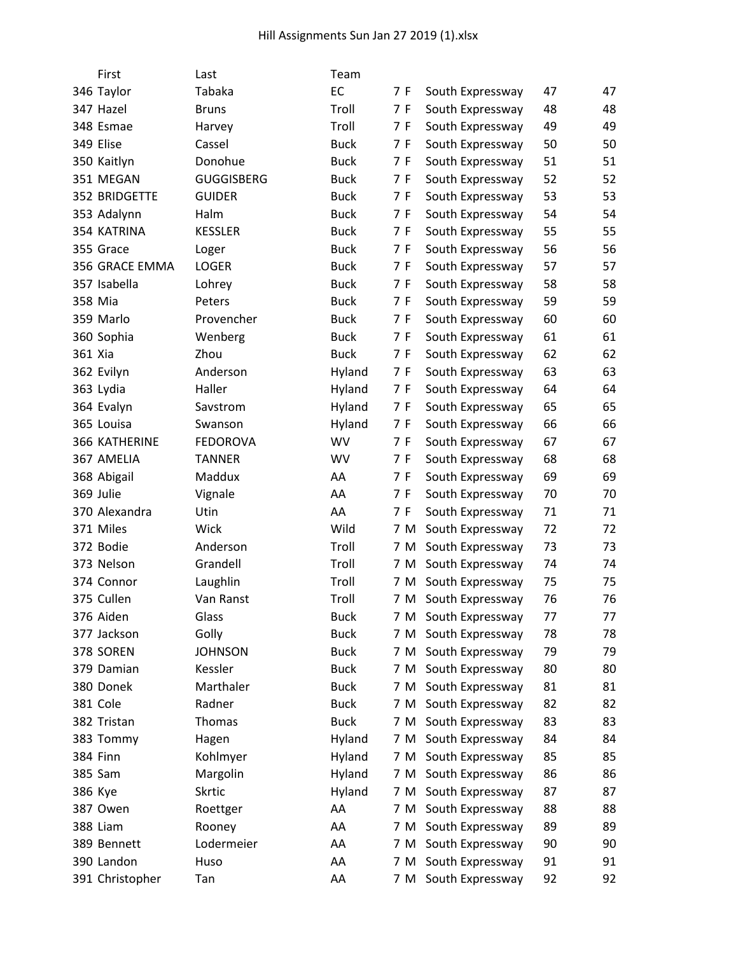|         | First                | Last              | Team        |     |     |                      |    |    |
|---------|----------------------|-------------------|-------------|-----|-----|----------------------|----|----|
|         | 346 Taylor           | Tabaka            | EC          | 7 F |     | South Expressway     | 47 | 47 |
|         | 347 Hazel            | <b>Bruns</b>      | Troll       | 7 F |     | South Expressway     | 48 | 48 |
|         | 348 Esmae            | Harvey            | Troll       | 7 F |     | South Expressway     | 49 | 49 |
|         | 349 Elise            | Cassel            | <b>Buck</b> | 7 F |     | South Expressway     | 50 | 50 |
|         | 350 Kaitlyn          | Donohue           | <b>Buck</b> | 7 F |     | South Expressway     | 51 | 51 |
|         | 351 MEGAN            | <b>GUGGISBERG</b> | <b>Buck</b> | 7 F |     | South Expressway     | 52 | 52 |
|         | 352 BRIDGETTE        | <b>GUIDER</b>     | <b>Buck</b> | 7 F |     | South Expressway     | 53 | 53 |
|         | 353 Adalynn          | Halm              | <b>Buck</b> | 7 F |     | South Expressway     | 54 | 54 |
|         | 354 KATRINA          | <b>KESSLER</b>    | <b>Buck</b> | 7 F |     | South Expressway     | 55 | 55 |
|         | 355 Grace            | Loger             | <b>Buck</b> | 7 F |     | South Expressway     | 56 | 56 |
|         | 356 GRACE EMMA       | <b>LOGER</b>      | <b>Buck</b> | 7 F |     | South Expressway     | 57 | 57 |
|         | 357 Isabella         | Lohrey            | <b>Buck</b> | 7 F |     | South Expressway     | 58 | 58 |
| 358 Mia |                      | Peters            | <b>Buck</b> | 7 F |     | South Expressway     | 59 | 59 |
|         | 359 Marlo            | Provencher        | <b>Buck</b> | 7 F |     | South Expressway     | 60 | 60 |
|         | 360 Sophia           | Wenberg           | <b>Buck</b> | 7 F |     | South Expressway     | 61 | 61 |
| 361 Xia |                      | Zhou              | <b>Buck</b> | 7 F |     | South Expressway     | 62 | 62 |
|         | 362 Evilyn           | Anderson          | Hyland      | 7 F |     | South Expressway     | 63 | 63 |
|         | 363 Lydia            | Haller            | Hyland      | 7 F |     | South Expressway     | 64 | 64 |
|         | 364 Evalyn           | Savstrom          | Hyland      | 7 F |     | South Expressway     | 65 | 65 |
|         | 365 Louisa           | Swanson           | Hyland      | 7 F |     | South Expressway     | 66 | 66 |
|         | <b>366 KATHERINE</b> | <b>FEDOROVA</b>   | <b>WV</b>   | 7 F |     | South Expressway     | 67 | 67 |
|         | 367 AMELIA           | <b>TANNER</b>     | <b>WV</b>   | 7 F |     | South Expressway     | 68 | 68 |
|         | 368 Abigail          | Maddux            | AA          | 7 F |     | South Expressway     | 69 | 69 |
|         | 369 Julie            | Vignale           | AA          | 7 F |     | South Expressway     | 70 | 70 |
|         | 370 Alexandra        | Utin              | AA          | 7 F |     | South Expressway     | 71 | 71 |
|         | 371 Miles            | Wick              | Wild        |     | 7 M | South Expressway     | 72 | 72 |
|         | 372 Bodie            | Anderson          | Troll       |     | 7 M | South Expressway     | 73 | 73 |
|         | 373 Nelson           | Grandell          | Troll       |     | 7 M | South Expressway     | 74 | 74 |
|         | 374 Connor           | Laughlin          | Troll       |     | 7 M | South Expressway     | 75 | 75 |
|         | 375 Cullen           | Van Ranst         | Troll       |     | 7 M | South Expressway     | 76 | 76 |
|         | 376 Aiden            | Glass             | <b>Buck</b> |     |     | 7 M South Expressway | 77 | 77 |
|         | 377 Jackson          | Golly             | <b>Buck</b> |     | 7 M | South Expressway     | 78 | 78 |
|         | 378 SOREN            | <b>JOHNSON</b>    | <b>Buck</b> |     | 7 M | South Expressway     | 79 | 79 |
|         | 379 Damian           | Kessler           | <b>Buck</b> |     | 7 M | South Expressway     | 80 | 80 |
|         | 380 Donek            | Marthaler         | <b>Buck</b> |     | 7 M | South Expressway     | 81 | 81 |
|         | 381 Cole             | Radner            | <b>Buck</b> |     | 7 M | South Expressway     | 82 | 82 |
|         | 382 Tristan          | Thomas            | <b>Buck</b> |     |     | 7 M South Expressway | 83 | 83 |
|         | 383 Tommy            | Hagen             | Hyland      |     | 7 M | South Expressway     | 84 | 84 |
|         | <b>384 Finn</b>      | Kohlmyer          | Hyland      |     | 7 M | South Expressway     | 85 | 85 |
|         | 385 Sam              | Margolin          | Hyland      |     | 7 M | South Expressway     | 86 | 86 |
| 386 Kye |                      | <b>Skrtic</b>     | Hyland      |     | 7 M | South Expressway     | 87 | 87 |
|         | 387 Owen             | Roettger          | AA          |     | 7 M | South Expressway     | 88 | 88 |
|         | 388 Liam             | Rooney            | AA          |     | 7 M | South Expressway     | 89 | 89 |
|         | 389 Bennett          | Lodermeier        | AA          |     | 7 M | South Expressway     | 90 | 90 |
|         | 390 Landon           | Huso              | AA          |     | 7 M | South Expressway     | 91 | 91 |
|         | 391 Christopher      | Tan               | AA          |     |     | 7 M South Expressway | 92 | 92 |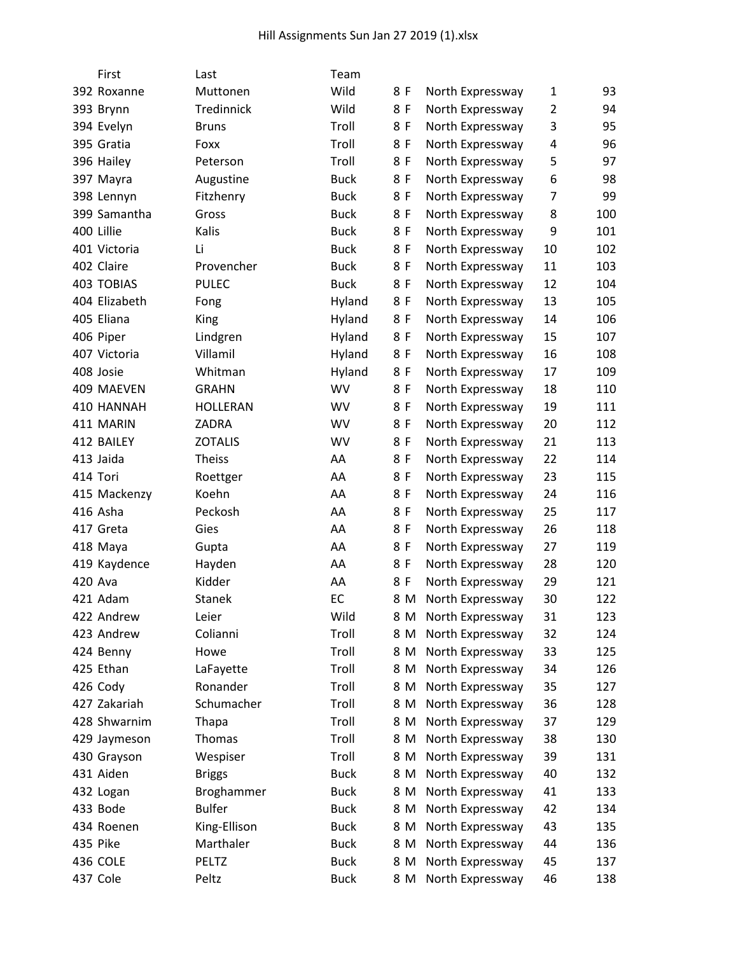|            | First             | Last            | Team        |     |                      |                |     |
|------------|-------------------|-----------------|-------------|-----|----------------------|----------------|-----|
|            | 392 Roxanne       | Muttonen        | Wild        | 8 F | North Expressway     | 1              | 93  |
| 393 Brynn  |                   | Tredinnick      | Wild        | 8 F | North Expressway     | $\overline{2}$ | 94  |
| 394 Evelyn |                   | <b>Bruns</b>    | Troll       | 8 F | North Expressway     | 3              | 95  |
| 395 Gratia |                   | Foxx            | Troll       | 8 F | North Expressway     | 4              | 96  |
| 396 Hailey |                   | Peterson        | Troll       | 8 F | North Expressway     | 5              | 97  |
| 397 Mayra  |                   | Augustine       | <b>Buck</b> | 8 F | North Expressway     | 6              | 98  |
|            | 398 Lennyn        | Fitzhenry       | <b>Buck</b> | 8 F | North Expressway     | 7              | 99  |
|            | 399 Samantha      | Gross           | <b>Buck</b> | 8 F | North Expressway     | 8              | 100 |
| 400 Lillie |                   | Kalis           | <b>Buck</b> | 8 F | North Expressway     | 9              | 101 |
|            | 401 Victoria      | Li              | <b>Buck</b> | 8 F | North Expressway     | 10             | 102 |
| 402 Claire |                   | Provencher      | <b>Buck</b> | 8 F | North Expressway     | 11             | 103 |
|            | <b>403 TOBIAS</b> | <b>PULEC</b>    | <b>Buck</b> | 8 F | North Expressway     | 12             | 104 |
|            | 404 Elizabeth     | Fong            | Hyland      | 8 F | North Expressway     | 13             | 105 |
| 405 Eliana |                   | King            | Hyland      | 8 F | North Expressway     | 14             | 106 |
| 406 Piper  |                   | Lindgren        | Hyland      | 8 F | North Expressway     | 15             | 107 |
|            | 407 Victoria      | Villamil        | Hyland      | 8 F | North Expressway     | 16             | 108 |
| 408 Josie  |                   | Whitman         | Hyland      | 8 F | North Expressway     | 17             | 109 |
|            | 409 MAEVEN        | <b>GRAHN</b>    | WV          | 8 F | North Expressway     | 18             | 110 |
|            | 410 HANNAH        | <b>HOLLERAN</b> | WV          | 8 F | North Expressway     | 19             | 111 |
| 411 MARIN  |                   | ZADRA           | WV          | 8 F | North Expressway     | 20             | 112 |
| 412 BAILEY |                   | <b>ZOTALIS</b>  | <b>WV</b>   | 8 F | North Expressway     | 21             | 113 |
| 413 Jaida  |                   | <b>Theiss</b>   | AA          | 8 F | North Expressway     | 22             | 114 |
| 414 Tori   |                   | Roettger        | AA          | 8 F | North Expressway     | 23             | 115 |
|            | 415 Mackenzy      | Koehn           | AA          | 8 F | North Expressway     | 24             | 116 |
| 416 Asha   |                   | Peckosh         | AA          | 8 F | North Expressway     | 25             | 117 |
| 417 Greta  |                   | Gies            | AA          | 8 F | North Expressway     | 26             | 118 |
| 418 Maya   |                   | Gupta           | AA          | 8 F | North Expressway     | 27             | 119 |
|            | 419 Kaydence      | Hayden          | AA          | 8 F | North Expressway     | 28             | 120 |
| 420 Ava    |                   | Kidder          | AA          | 8 F | North Expressway     | 29             | 121 |
| 421 Adam   |                   | <b>Stanek</b>   | EC          | 8 M | North Expressway     | 30             | 122 |
|            | 422 Andrew        | Leier           | Wild        |     | 8 M North Expressway | 31             | 123 |
|            | 423 Andrew        | Colianni        | Troll       | 8 M | North Expressway     | 32             | 124 |
| 424 Benny  |                   | Howe            | Troll       | 8 M | North Expressway     | 33             | 125 |
| 425 Ethan  |                   | LaFayette       | Troll       | 8 M | North Expressway     | 34             | 126 |
| 426 Cody   |                   | Ronander        | Troll       | 8 M | North Expressway     | 35             | 127 |
|            | 427 Zakariah      | Schumacher      | Troll       | 8 M | North Expressway     | 36             | 128 |
|            | 428 Shwarnim      | Thapa           | Troll       | 8 M | North Expressway     | 37             | 129 |
|            | 429 Jaymeson      | Thomas          | Troll       | 8 M | North Expressway     | 38             | 130 |
|            | 430 Grayson       | Wespiser        | Troll       | 8 M | North Expressway     | 39             | 131 |
| 431 Aiden  |                   | <b>Briggs</b>   | <b>Buck</b> | 8 M | North Expressway     | 40             | 132 |
| 432 Logan  |                   | Broghammer      | <b>Buck</b> | 8 M | North Expressway     | 41             | 133 |
| 433 Bode   |                   | <b>Bulfer</b>   | <b>Buck</b> | 8 M | North Expressway     | 42             | 134 |
|            | 434 Roenen        | King-Ellison    | <b>Buck</b> | 8 M | North Expressway     | 43             | 135 |
| 435 Pike   |                   | Marthaler       | <b>Buck</b> | 8 M | North Expressway     | 44             | 136 |
| 436 COLE   |                   | PELTZ           | <b>Buck</b> | 8 M | North Expressway     | 45             | 137 |
| 437 Cole   |                   | Peltz           | <b>Buck</b> | 8 M | North Expressway     | 46             | 138 |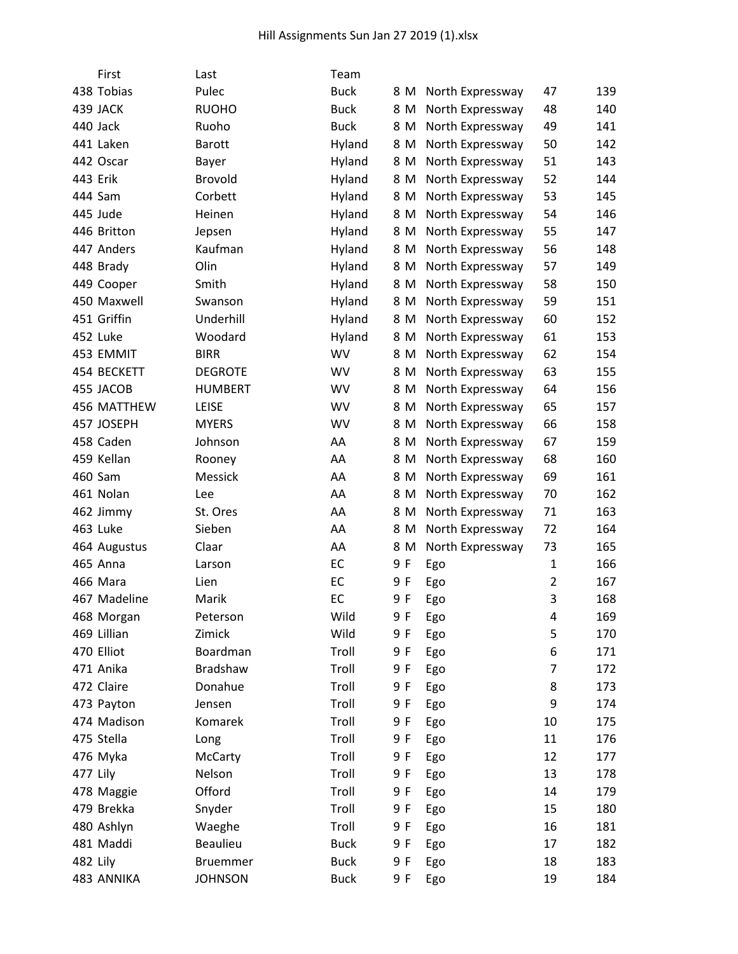| First        | Last            | Team        |     |                  |                |     |
|--------------|-----------------|-------------|-----|------------------|----------------|-----|
| 438 Tobias   | Pulec           | <b>Buck</b> | 8 M | North Expressway | 47             | 139 |
| 439 JACK     | <b>RUOHO</b>    | <b>Buck</b> | 8 M | North Expressway | 48             | 140 |
| 440 Jack     | Ruoho           | <b>Buck</b> | 8 M | North Expressway | 49             | 141 |
| 441 Laken    | <b>Barott</b>   | Hyland      | 8 M | North Expressway | 50             | 142 |
| 442 Oscar    | Bayer           | Hyland      | 8 M | North Expressway | 51             | 143 |
| 443 Erik     | <b>Brovold</b>  | Hyland      | 8 M | North Expressway | 52             | 144 |
| 444 Sam      | Corbett         | Hyland      | 8 M | North Expressway | 53             | 145 |
| 445 Jude     | Heinen          | Hyland      | 8 M | North Expressway | 54             | 146 |
| 446 Britton  | Jepsen          | Hyland      | 8 M | North Expressway | 55             | 147 |
| 447 Anders   | Kaufman         | Hyland      | 8 M | North Expressway | 56             | 148 |
| 448 Brady    | Olin            | Hyland      | 8 M | North Expressway | 57             | 149 |
| 449 Cooper   | Smith           | Hyland      | 8 M | North Expressway | 58             | 150 |
| 450 Maxwell  | Swanson         | Hyland      | 8 M | North Expressway | 59             | 151 |
| 451 Griffin  | Underhill       | Hyland      | 8 M | North Expressway | 60             | 152 |
| 452 Luke     | Woodard         | Hyland      | 8 M | North Expressway | 61             | 153 |
| 453 EMMIT    | <b>BIRR</b>     | WV          | 8 M | North Expressway | 62             | 154 |
| 454 BECKETT  | <b>DEGROTE</b>  | WV          | 8 M | North Expressway | 63             | 155 |
| 455 JACOB    | <b>HUMBERT</b>  | <b>WV</b>   | 8 M | North Expressway | 64             | 156 |
| 456 MATTHEW  | <b>LEISE</b>    | <b>WV</b>   | 8 M | North Expressway | 65             | 157 |
| 457 JOSEPH   | <b>MYERS</b>    | WV          | 8 M | North Expressway | 66             | 158 |
| 458 Caden    | Johnson         | AA          | 8 M | North Expressway | 67             | 159 |
| 459 Kellan   | Rooney          | AA          | 8 M | North Expressway | 68             | 160 |
| 460 Sam      | Messick         | AA          | 8 M | North Expressway | 69             | 161 |
| 461 Nolan    | Lee             | AA          | 8 M | North Expressway | 70             | 162 |
| 462 Jimmy    | St. Ores        | AA          | 8 M | North Expressway | 71             | 163 |
| 463 Luke     | Sieben          | AA          | 8 M | North Expressway | 72             | 164 |
| 464 Augustus | Claar           | AA          | 8 M | North Expressway | 73             | 165 |
| 465 Anna     | Larson          | EC          | 9 F | Ego              | $\mathbf{1}$   | 166 |
| 466 Mara     | Lien            | EC          | 9 F | Ego              | $\overline{2}$ | 167 |
| 467 Madeline | Marik           | EC          | 9 F | Ego              | 3              | 168 |
| 468 Morgan   | Peterson        | Wild        | 9 F | Ego              | 4              | 169 |
| 469 Lillian  | Zimick          | Wild        | 9 F | Ego              | 5              | 170 |
| 470 Elliot   | Boardman        | Troll       | 9 F | Ego              | 6              | 171 |
| 471 Anika    | Bradshaw        | Troll       | 9 F | Ego              | $\overline{7}$ | 172 |
| 472 Claire   | Donahue         | Troll       | 9 F | Ego              | 8              | 173 |
| 473 Payton   | Jensen          | Troll       | 9 F | Ego              | 9              | 174 |
| 474 Madison  | Komarek         | Troll       | 9 F | Ego              | 10             | 175 |
| 475 Stella   | Long            | Troll       | 9 F | Ego              | 11             | 176 |
| 476 Myka     | McCarty         | Troll       | 9 F | Ego              | 12             | 177 |
| 477 Lily     | Nelson          | Troll       | 9 F | Ego              | 13             | 178 |
| 478 Maggie   | Offord          | Troll       | 9 F | Ego              | 14             | 179 |
| 479 Brekka   | Snyder          | Troll       | 9 F | Ego              | 15             | 180 |
| 480 Ashlyn   | Waeghe          | Troll       | 9 F | Ego              | 16             | 181 |
| 481 Maddi    | Beaulieu        | <b>Buck</b> | 9 F | Ego              | 17             | 182 |
| 482 Lily     | <b>Bruemmer</b> | <b>Buck</b> | 9 F | Ego              | 18             | 183 |
| 483 ANNIKA   | <b>JOHNSON</b>  | <b>Buck</b> | 9 F | Ego              | 19             | 184 |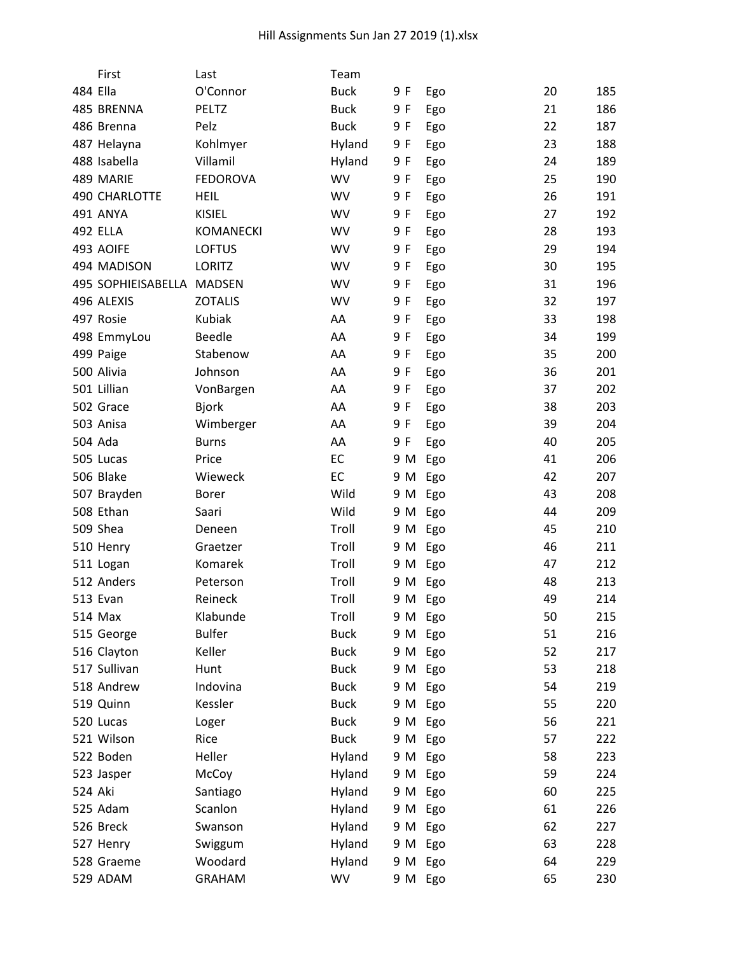|          | First                     | Last             | Team        |     |         |    |     |
|----------|---------------------------|------------------|-------------|-----|---------|----|-----|
| 484 Ella |                           | O'Connor         | <b>Buck</b> | 9 F | Ego     | 20 | 185 |
|          | 485 BRENNA                | <b>PELTZ</b>     | <b>Buck</b> | 9 F | Ego     | 21 | 186 |
|          | 486 Brenna                | Pelz             | <b>Buck</b> | 9 F | Ego     | 22 | 187 |
|          | 487 Helayna               | Kohlmyer         | Hyland      | 9 F | Ego     | 23 | 188 |
|          | 488 Isabella              | Villamil         | Hyland      | 9 F | Ego     | 24 | 189 |
|          | 489 MARIE                 | <b>FEDOROVA</b>  | WV          | 9 F | Ego     | 25 | 190 |
|          | <b>490 CHARLOTTE</b>      | <b>HEIL</b>      | <b>WV</b>   | 9 F | Ego     | 26 | 191 |
|          | 491 ANYA                  | <b>KISIEL</b>    | WV          | 9 F | Ego     | 27 | 192 |
|          | <b>492 ELLA</b>           | <b>KOMANECKI</b> | WV          | 9 F | Ego     | 28 | 193 |
|          | 493 AOIFE                 | <b>LOFTUS</b>    | WV          | 9 F | Ego     | 29 | 194 |
|          | 494 MADISON               | LORITZ           | <b>WV</b>   | 9 F | Ego     | 30 | 195 |
|          | 495 SOPHIEISABELLA MADSEN |                  | <b>WV</b>   | 9 F | Ego     | 31 | 196 |
|          | 496 ALEXIS                | <b>ZOTALIS</b>   | WV          | 9 F | Ego     | 32 | 197 |
|          | 497 Rosie                 | Kubiak           | AA          | 9 F | Ego     | 33 | 198 |
|          | 498 EmmyLou               | <b>Beedle</b>    | AA          | 9 F | Ego     | 34 | 199 |
|          | 499 Paige                 | Stabenow         | AA          | 9 F | Ego     | 35 | 200 |
|          | 500 Alivia                | Johnson          | AA          | 9 F | Ego     | 36 | 201 |
|          | 501 Lillian               | VonBargen        | AA          | 9 F | Ego     | 37 | 202 |
|          | 502 Grace                 | <b>Bjork</b>     | AA          | 9 F | Ego     | 38 | 203 |
|          | 503 Anisa                 | Wimberger        | AA          | 9 F | Ego     | 39 | 204 |
|          | 504 Ada                   | <b>Burns</b>     | AA          | 9 F | Ego     | 40 | 205 |
|          | 505 Lucas                 | Price            | EC          | 9 M | Ego     | 41 | 206 |
|          | 506 Blake                 | Wieweck          | EC          | 9 M | Ego     | 42 | 207 |
|          | 507 Brayden               | <b>Borer</b>     | Wild        | 9 M | Ego     | 43 | 208 |
|          | 508 Ethan                 | Saari            | Wild        | 9 M | Ego     | 44 | 209 |
|          | 509 Shea                  | Deneen           | Troll       | 9 M | Ego     | 45 | 210 |
|          | 510 Henry                 | Graetzer         | Troll       | 9 M | Ego     | 46 | 211 |
|          | 511 Logan                 | Komarek          | Troll       | 9 M | Ego     | 47 | 212 |
|          | 512 Anders                | Peterson         | Troll       | 9 M | Ego     | 48 | 213 |
|          | 513 Evan                  | Reineck          | Troll       | 9 M | Ego     | 49 | 214 |
|          | 514 Max                   | Klabunde         | Troll       |     | 9 M Ego | 50 | 215 |
|          | 515 George                | <b>Bulfer</b>    | <b>Buck</b> | 9 M | Ego     | 51 | 216 |
|          | 516 Clayton               | Keller           | <b>Buck</b> | 9 M | Ego     | 52 | 217 |
|          | 517 Sullivan              | Hunt             | <b>Buck</b> | 9 M | Ego     | 53 | 218 |
|          | 518 Andrew                | Indovina         | <b>Buck</b> | 9 M | Ego     | 54 | 219 |
|          | 519 Quinn                 | Kessler          | <b>Buck</b> | 9 M | Ego     | 55 | 220 |
|          | 520 Lucas                 | Loger            | <b>Buck</b> | 9 M | Ego     | 56 | 221 |
|          | 521 Wilson                | Rice             | <b>Buck</b> | 9 M | Ego     | 57 | 222 |
|          | 522 Boden                 | Heller           | Hyland      | 9 M | Ego     | 58 | 223 |
|          | 523 Jasper                | McCoy            | Hyland      | 9 M | Ego     | 59 | 224 |
| 524 Aki  |                           | Santiago         | Hyland      | 9 M | Ego     | 60 | 225 |
|          | 525 Adam                  | Scanlon          | Hyland      | 9 M | Ego     | 61 | 226 |
|          | 526 Breck                 | Swanson          | Hyland      | 9 M | Ego     | 62 | 227 |
|          | 527 Henry                 | Swiggum          | Hyland      | 9 M | Ego     | 63 | 228 |
|          | 528 Graeme                | Woodard          | Hyland      | 9 M | Ego     | 64 | 229 |
|          | 529 ADAM                  | <b>GRAHAM</b>    | WV          |     | 9 M Ego | 65 | 230 |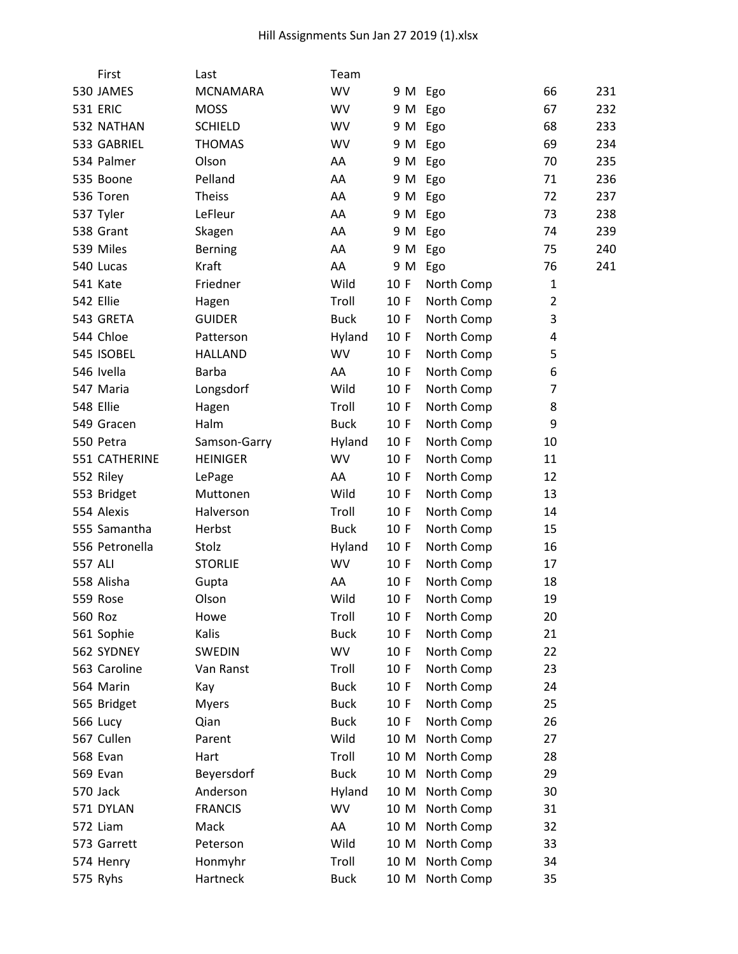|                 | First          | Last            | Team        |         |            |                |     |
|-----------------|----------------|-----------------|-------------|---------|------------|----------------|-----|
|                 | 530 JAMES      | <b>MCNAMARA</b> | <b>WV</b>   | 9 M Ego |            | 66             | 231 |
| <b>531 ERIC</b> |                | <b>MOSS</b>     | <b>WV</b>   | 9 M     | Ego        | 67             | 232 |
|                 | 532 NATHAN     | <b>SCHIELD</b>  | <b>WV</b>   | 9 M     | Ego        | 68             | 233 |
|                 | 533 GABRIEL    | <b>THOMAS</b>   | WV          | 9 M     | Ego        | 69             | 234 |
|                 | 534 Palmer     | Olson           | AA          | 9 M     | Ego        | 70             | 235 |
| 535 Boone       |                | Pelland         | AA          | 9 M     | Ego        | 71             | 236 |
| 536 Toren       |                | <b>Theiss</b>   | AA          | 9 M     | Ego        | 72             | 237 |
| 537 Tyler       |                | LeFleur         | AA          | 9 M     | Ego        | 73             | 238 |
| 538 Grant       |                | Skagen          | AA          | 9 M     | Ego        | 74             | 239 |
| 539 Miles       |                | <b>Berning</b>  | AA          | 9 M     | Ego        | 75             | 240 |
| 540 Lucas       |                | Kraft           | AA          | 9 M     | Ego        | 76             | 241 |
| 541 Kate        |                | Friedner        | Wild        | 10 F    | North Comp | 1              |     |
| 542 Ellie       |                | Hagen           | Troll       | 10 F    | North Comp | $\overline{2}$ |     |
|                 | 543 GRETA      | <b>GUIDER</b>   | <b>Buck</b> | 10 F    | North Comp | 3              |     |
| 544 Chloe       |                | Patterson       | Hyland      | 10 F    | North Comp | 4              |     |
|                 | 545 ISOBEL     | <b>HALLAND</b>  | WV          | 10 F    | North Comp | 5              |     |
| 546 Ivella      |                | <b>Barba</b>    | AA          | 10 F    | North Comp | 6              |     |
| 547 Maria       |                | Longsdorf       | Wild        | 10 F    | North Comp | 7              |     |
| 548 Ellie       |                | Hagen           | Troll       | 10 F    | North Comp | 8              |     |
|                 | 549 Gracen     | Halm            | <b>Buck</b> | 10 F    | North Comp | 9              |     |
| 550 Petra       |                | Samson-Garry    | Hyland      | 10 F    | North Comp | 10             |     |
|                 | 551 CATHERINE  | <b>HEINIGER</b> | <b>WV</b>   | 10 F    | North Comp | 11             |     |
| 552 Riley       |                | LePage          | AA          | 10 F    | North Comp | 12             |     |
|                 | 553 Bridget    | Muttonen        | Wild        | 10 F    | North Comp | 13             |     |
| 554 Alexis      |                | Halverson       | Troll       | 10 F    | North Comp | 14             |     |
|                 | 555 Samantha   | Herbst          | <b>Buck</b> | 10 F    | North Comp | 15             |     |
|                 | 556 Petronella | Stolz           | Hyland      | 10 F    | North Comp | 16             |     |
| 557 ALI         |                | <b>STORLIE</b>  | WV          | 10 F    | North Comp | 17             |     |
| 558 Alisha      |                | Gupta           | AA          | 10 F    | North Comp | 18             |     |
| 559 Rose        |                | Olson           | Wild        | 10 F    | North Comp | 19             |     |
| 560 Roz         |                | Howe            | Troll       | 10 F    | North Comp | 20             |     |
|                 | 561 Sophie     | Kalis           | <b>Buck</b> | 10 F    | North Comp | 21             |     |
|                 | 562 SYDNEY     | <b>SWEDIN</b>   | WV          | 10 F    | North Comp | 22             |     |
|                 | 563 Caroline   | Van Ranst       | Troll       | 10 F    | North Comp | 23             |     |
| 564 Marin       |                | Kay             | <b>Buck</b> | 10 F    | North Comp | 24             |     |
|                 | 565 Bridget    | <b>Myers</b>    | <b>Buck</b> | 10 F    | North Comp | 25             |     |
| <b>566 Lucy</b> |                | Qian            | <b>Buck</b> | 10 F    | North Comp | 26             |     |
| 567 Cullen      |                | Parent          | Wild        | 10 M    | North Comp | 27             |     |
| 568 Evan        |                | Hart            | Troll       | 10 M    | North Comp | 28             |     |
| 569 Evan        |                | Beyersdorf      | <b>Buck</b> | 10 M    | North Comp | 29             |     |
| 570 Jack        |                | Anderson        | Hyland      | 10 M    | North Comp | 30             |     |
|                 | 571 DYLAN      | <b>FRANCIS</b>  | WV          | 10 M    | North Comp | 31             |     |
| 572 Liam        |                | Mack            | AA          | 10 M    | North Comp | 32             |     |
|                 | 573 Garrett    | Peterson        | Wild        | 10 M    | North Comp | 33             |     |
| 574 Henry       |                | Honmyhr         | Troll       | 10 M    | North Comp | 34             |     |
| 575 Ryhs        |                | Hartneck        | <b>Buck</b> | 10 M    | North Comp | 35             |     |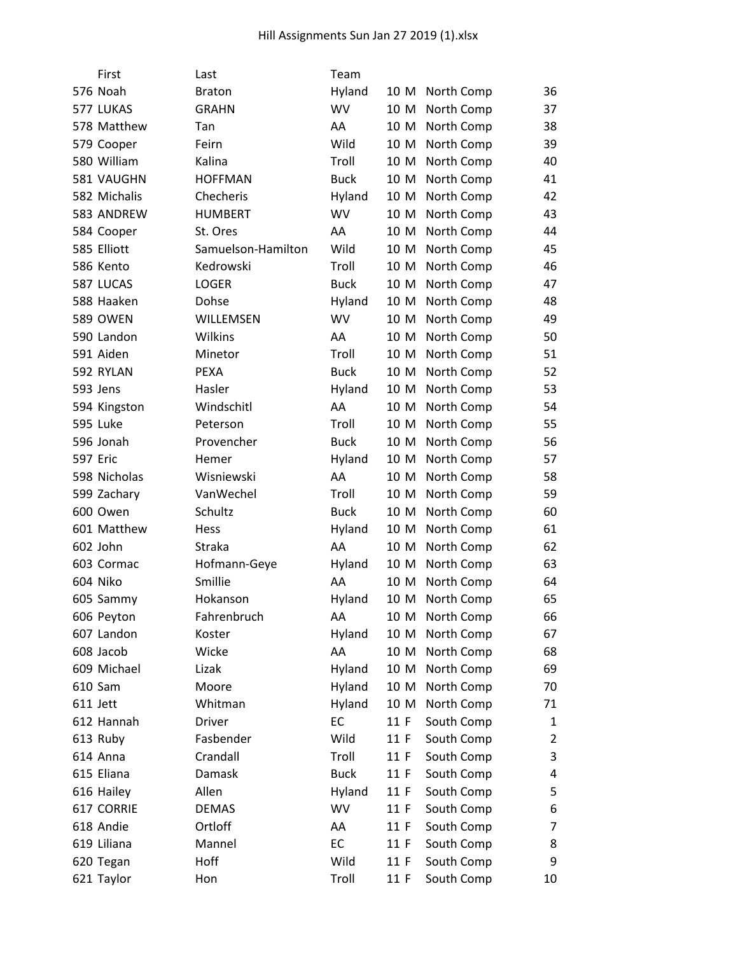|                 | First           | Last               | Team        |      |            |                |
|-----------------|-----------------|--------------------|-------------|------|------------|----------------|
|                 | 576 Noah        | <b>Braton</b>      | Hyland      | 10 M | North Comp | 36             |
|                 | 577 LUKAS       | <b>GRAHN</b>       | WV          | 10 M | North Comp | 37             |
|                 | 578 Matthew     | Tan                | AA          | 10 M | North Comp | 38             |
|                 | 579 Cooper      | Feirn              | Wild        | 10 M | North Comp | 39             |
|                 | 580 William     | Kalina             | Troll       | 10 M | North Comp | 40             |
|                 | 581 VAUGHN      | <b>HOFFMAN</b>     | <b>Buck</b> | 10 M | North Comp | 41             |
|                 | 582 Michalis    | Checheris          | Hyland      | 10 M | North Comp | 42             |
|                 | 583 ANDREW      | <b>HUMBERT</b>     | WV          | 10 M | North Comp | 43             |
|                 | 584 Cooper      | St. Ores           | AA          | 10 M | North Comp | 44             |
|                 | 585 Elliott     | Samuelson-Hamilton | Wild        | 10 M | North Comp | 45             |
|                 | 586 Kento       | Kedrowski          | Troll       | 10 M | North Comp | 46             |
|                 | 587 LUCAS       | <b>LOGER</b>       | <b>Buck</b> | 10 M | North Comp | 47             |
|                 | 588 Haaken      | Dohse              | Hyland      | 10 M | North Comp | 48             |
|                 | <b>589 OWEN</b> | WILLEMSEN          | WV          | 10 M | North Comp | 49             |
|                 | 590 Landon      | Wilkins            | AA          | 10 M | North Comp | 50             |
|                 | 591 Aiden       | Minetor            | Troll       | 10 M | North Comp | 51             |
|                 | 592 RYLAN       | <b>PEXA</b>        | <b>Buck</b> | 10 M | North Comp | 52             |
|                 | 593 Jens        | Hasler             | Hyland      | 10 M | North Comp | 53             |
|                 | 594 Kingston    | Windschitl         | AA          | 10 M | North Comp | 54             |
|                 | 595 Luke        | Peterson           | Troll       | 10 M | North Comp | 55             |
|                 | 596 Jonah       | Provencher         | <b>Buck</b> | 10 M | North Comp | 56             |
| <b>597 Eric</b> |                 | Hemer              | Hyland      | 10 M | North Comp | 57             |
|                 | 598 Nicholas    | Wisniewski         | AA          | 10 M | North Comp | 58             |
|                 | 599 Zachary     | VanWechel          | Troll       | 10 M | North Comp | 59             |
|                 | 600 Owen        | Schultz            | <b>Buck</b> | 10 M | North Comp | 60             |
|                 | 601 Matthew     | <b>Hess</b>        | Hyland      | 10 M | North Comp | 61             |
|                 | 602 John        | Straka             | AA          | 10 M | North Comp | 62             |
|                 | 603 Cormac      | Hofmann-Geye       | Hyland      | 10 M | North Comp | 63             |
|                 | 604 Niko        | Smillie            | AA          | 10 M | North Comp | 64             |
|                 | 605 Sammy       | Hokanson           | Hyland      | 10 M | North Comp | 65             |
|                 | 606 Peyton      | Fahrenbruch        | AA          | 10 M | North Comp | 66             |
|                 | 607 Landon      | Koster             | Hyland      | 10 M | North Comp | 67             |
|                 | 608 Jacob       | Wicke              | AA          | 10 M | North Comp | 68             |
|                 | 609 Michael     | Lizak              | Hyland      | 10 M | North Comp | 69             |
|                 | 610 Sam         | Moore              | Hyland      | 10 M | North Comp | 70             |
|                 | 611 Jett        | Whitman            | Hyland      | 10 M | North Comp | 71             |
|                 | 612 Hannah      | Driver             | EC          | 11 F | South Comp | 1              |
|                 | 613 Ruby        | Fasbender          | Wild        | 11 F | South Comp | $\overline{2}$ |
|                 | 614 Anna        | Crandall           | Troll       | 11 F | South Comp | 3              |
|                 | 615 Eliana      | Damask             | <b>Buck</b> | 11 F | South Comp | 4              |
|                 | 616 Hailey      | Allen              | Hyland      | 11 F | South Comp | 5              |
|                 | 617 CORRIE      | <b>DEMAS</b>       | <b>WV</b>   | 11 F | South Comp | 6              |
|                 | 618 Andie       | Ortloff            | AA          | 11 F | South Comp | $\overline{7}$ |
|                 | 619 Liliana     | Mannel             | EC          | 11 F | South Comp | 8              |
|                 | 620 Tegan       | Hoff               | Wild        | 11 F | South Comp | 9              |
|                 | 621 Taylor      | Hon                | Troll       | 11 F | South Comp | 10             |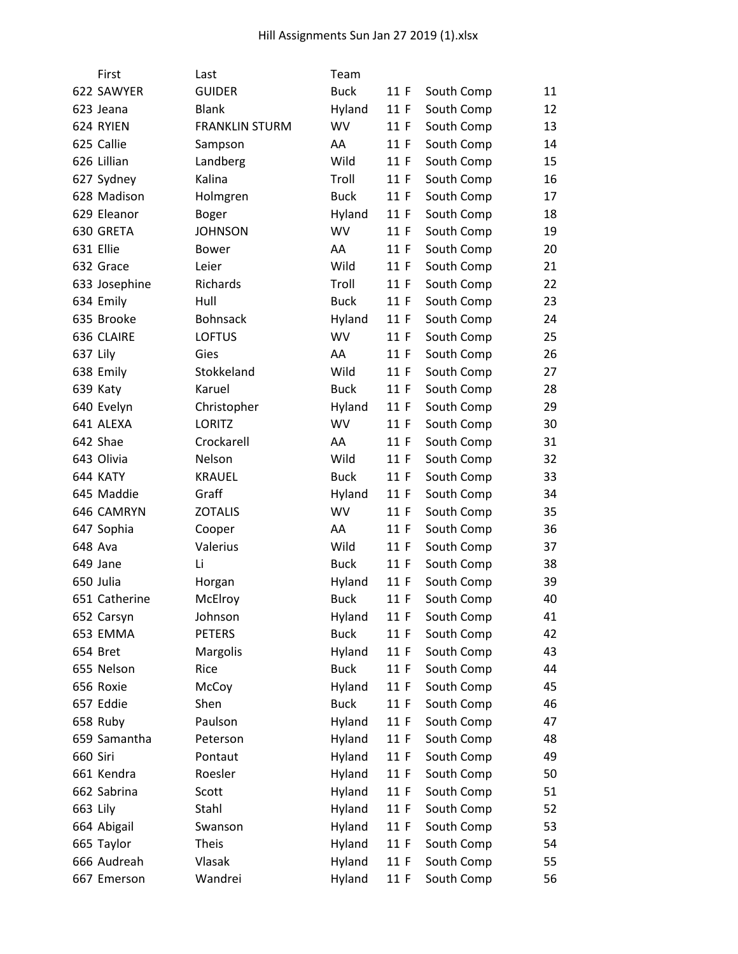| First         | Last                  | Team        |      |            |    |
|---------------|-----------------------|-------------|------|------------|----|
| 622 SAWYER    | <b>GUIDER</b>         | <b>Buck</b> | 11 F | South Comp | 11 |
| 623 Jeana     | <b>Blank</b>          | Hyland      | 11 F | South Comp | 12 |
| 624 RYIEN     | <b>FRANKLIN STURM</b> | <b>WV</b>   | 11 F | South Comp | 13 |
| 625 Callie    | Sampson               | AA          | 11 F | South Comp | 14 |
| 626 Lillian   | Landberg              | Wild        | 11 F | South Comp | 15 |
| 627 Sydney    | Kalina                | Troll       | 11 F | South Comp | 16 |
| 628 Madison   | Holmgren              | <b>Buck</b> | 11 F | South Comp | 17 |
| 629 Eleanor   | <b>Boger</b>          | Hyland      | 11 F | South Comp | 18 |
| 630 GRETA     | <b>JOHNSON</b>        | WV          | 11 F | South Comp | 19 |
| 631 Ellie     | <b>Bower</b>          | AA          | 11 F | South Comp | 20 |
| 632 Grace     | Leier                 | Wild        | 11 F | South Comp | 21 |
| 633 Josephine | Richards              | Troll       | 11 F | South Comp | 22 |
| 634 Emily     | Hull                  | <b>Buck</b> | 11 F | South Comp | 23 |
| 635 Brooke    | Bohnsack              | Hyland      | 11 F | South Comp | 24 |
| 636 CLAIRE    | <b>LOFTUS</b>         | <b>WV</b>   | 11 F | South Comp | 25 |
| 637 Lily      | Gies                  | AA          | 11 F | South Comp | 26 |
| 638 Emily     | Stokkeland            | Wild        | 11 F | South Comp | 27 |
| 639 Katy      | Karuel                | <b>Buck</b> | 11 F | South Comp | 28 |
| 640 Evelyn    | Christopher           | Hyland      | 11 F | South Comp | 29 |
| 641 ALEXA     | <b>LORITZ</b>         | <b>WV</b>   | 11 F | South Comp | 30 |
| 642 Shae      | Crockarell            | AA          | 11 F | South Comp | 31 |
| 643 Olivia    | Nelson                | Wild        | 11 F | South Comp | 32 |
| 644 KATY      | <b>KRAUEL</b>         | <b>Buck</b> | 11 F | South Comp | 33 |
| 645 Maddie    | Graff                 | Hyland      | 11 F | South Comp | 34 |
| 646 CAMRYN    | <b>ZOTALIS</b>        | <b>WV</b>   | 11 F | South Comp | 35 |
| 647 Sophia    | Cooper                | AA          | 11 F | South Comp | 36 |
| 648 Ava       | Valerius              | Wild        | 11 F | South Comp | 37 |
| 649 Jane      | Li                    | <b>Buck</b> | 11 F | South Comp | 38 |
| 650 Julia     | Horgan                | Hyland      | 11 F | South Comp | 39 |
| 651 Catherine | McElroy               | <b>Buck</b> | 11 F | South Comp | 40 |
| 652 Carsyn    | Johnson               | Hyland      | 11 F | South Comp | 41 |
| 653 EMMA      | <b>PETERS</b>         | <b>Buck</b> | 11 F | South Comp | 42 |
| 654 Bret      | Margolis              | Hyland      | 11 F | South Comp | 43 |
| 655 Nelson    | Rice                  | <b>Buck</b> | 11 F | South Comp | 44 |
| 656 Roxie     | McCoy                 | Hyland      | 11 F | South Comp | 45 |
| 657 Eddie     | Shen                  | <b>Buck</b> | 11 F | South Comp | 46 |
| 658 Ruby      | Paulson               | Hyland      | 11 F | South Comp | 47 |
| 659 Samantha  | Peterson              | Hyland      | 11 F | South Comp | 48 |
| 660 Siri      | Pontaut               | Hyland      | 11 F | South Comp | 49 |
| 661 Kendra    | Roesler               | Hyland      | 11 F | South Comp | 50 |
| 662 Sabrina   | Scott                 | Hyland      | 11 F | South Comp | 51 |
| 663 Lily      | Stahl                 | Hyland      | 11 F | South Comp | 52 |
| 664 Abigail   | Swanson               | Hyland      | 11 F | South Comp | 53 |
| 665 Taylor    | <b>Theis</b>          | Hyland      | 11 F | South Comp | 54 |
| 666 Audreah   | Vlasak                | Hyland      | 11 F | South Comp | 55 |
| 667 Emerson   | Wandrei               | Hyland      | 11 F | South Comp | 56 |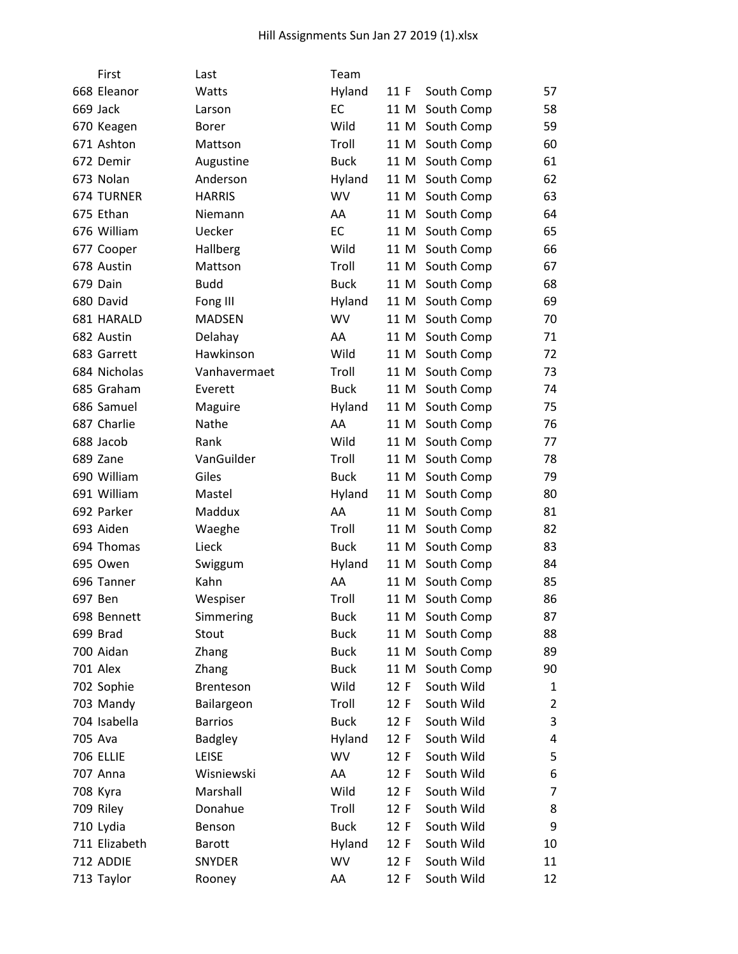| First             | Last           | Team        |      |                 |                |
|-------------------|----------------|-------------|------|-----------------|----------------|
| 668 Eleanor       | Watts          | Hyland      | 11 F | South Comp      | 57             |
| 669 Jack          | Larson         | EC          | 11 M | South Comp      | 58             |
| 670 Keagen        | <b>Borer</b>   | Wild        | 11 M | South Comp      | 59             |
| 671 Ashton        | Mattson        | Troll       | 11 M | South Comp      | 60             |
| 672 Demir         | Augustine      | <b>Buck</b> |      | 11 M South Comp | 61             |
| 673 Nolan         | Anderson       | Hyland      |      | 11 M South Comp | 62             |
| <b>674 TURNER</b> | <b>HARRIS</b>  | <b>WV</b>   | 11 M | South Comp      | 63             |
| 675 Ethan         | Niemann        | AA          | 11 M | South Comp      | 64             |
| 676 William       | Uecker         | EC          | 11 M | South Comp      | 65             |
| 677 Cooper        | Hallberg       | Wild        |      | 11 M South Comp | 66             |
| 678 Austin        | Mattson        | Troll       | 11 M | South Comp      | 67             |
| 679 Dain          | <b>Budd</b>    | <b>Buck</b> |      | 11 M South Comp | 68             |
| 680 David         | Fong III       | Hyland      |      | 11 M South Comp | 69             |
| 681 HARALD        | <b>MADSEN</b>  | <b>WV</b>   | 11 M | South Comp      | 70             |
| 682 Austin        | Delahay        | AA          | 11 M | South Comp      | 71             |
| 683 Garrett       | Hawkinson      | Wild        | 11 M | South Comp      | 72             |
| 684 Nicholas      | Vanhavermaet   | Troll       |      | 11 M South Comp | 73             |
| 685 Graham        | Everett        | <b>Buck</b> | 11 M | South Comp      | 74             |
| 686 Samuel        | Maguire        | Hyland      | 11 M | South Comp      | 75             |
| 687 Charlie       | Nathe          | AA          | 11 M | South Comp      | 76             |
| 688 Jacob         | Rank           | Wild        | 11 M | South Comp      | 77             |
| 689 Zane          | VanGuilder     | Troll       |      | 11 M South Comp | 78             |
| 690 William       | Giles          | <b>Buck</b> | 11 M | South Comp      | 79             |
| 691 William       | Mastel         | Hyland      | 11 M | South Comp      | 80             |
| 692 Parker        | Maddux         | AA          | 11 M | South Comp      | 81             |
| 693 Aiden         | Waeghe         | Troll       | 11 M | South Comp      | 82             |
| 694 Thomas        | Lieck          | <b>Buck</b> |      | 11 M South Comp | 83             |
| 695 Owen          | Swiggum        | Hyland      | 11 M | South Comp      | 84             |
| 696 Tanner        | Kahn           | AA          | 11 M | South Comp      | 85             |
| 697 Ben           | Wespiser       | Troll       | 11 M | South Comp      | 86             |
| 698 Bennett       | Simmering      | <b>Buck</b> |      | 11 M South Comp | 87             |
| 699 Brad          | Stout          | <b>Buck</b> | 11 M | South Comp      | 88             |
| 700 Aidan         | Zhang          | <b>Buck</b> | 11 M | South Comp      | 89             |
| <b>701 Alex</b>   | Zhang          | <b>Buck</b> | 11 M | South Comp      | 90             |
| 702 Sophie        | Brenteson      | Wild        | 12 F | South Wild      | 1              |
| 703 Mandy         | Bailargeon     | Troll       | 12 F | South Wild      | $\overline{2}$ |
| 704 Isabella      | <b>Barrios</b> | <b>Buck</b> | 12 F | South Wild      | 3              |
| 705 Ava           | <b>Badgley</b> | Hyland      | 12 F | South Wild      | 4              |
| <b>706 ELLIE</b>  | LEISE          | WV          | 12 F | South Wild      | 5              |
| 707 Anna          | Wisniewski     | AA          | 12 F | South Wild      | 6              |
| 708 Kyra          | Marshall       | Wild        | 12 F | South Wild      | 7              |
| 709 Riley         | Donahue        | Troll       | 12 F | South Wild      | 8              |
| 710 Lydia         | Benson         | <b>Buck</b> | 12 F | South Wild      | 9              |
| 711 Elizabeth     | <b>Barott</b>  | Hyland      | 12 F | South Wild      | 10             |
| 712 ADDIE         | <b>SNYDER</b>  | WV          | 12 F | South Wild      | 11             |
| 713 Taylor        | Rooney         | AA          | 12 F | South Wild      | 12             |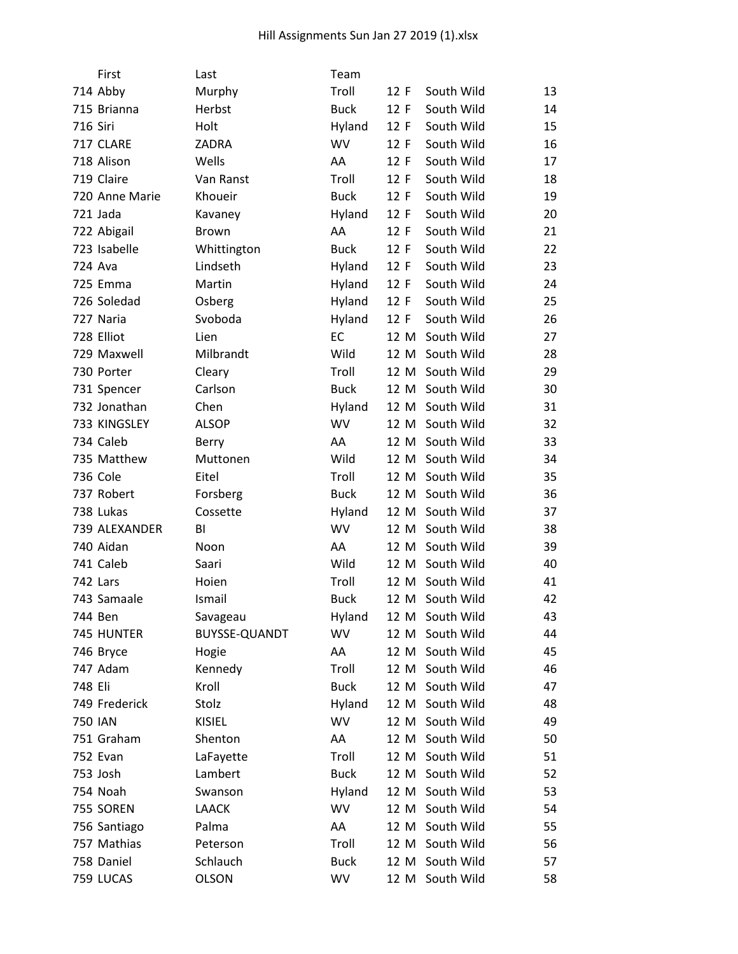|                | First          | Last          | Team        |      |                 |    |
|----------------|----------------|---------------|-------------|------|-----------------|----|
|                | 714 Abby       | Murphy        | Troll       | 12 F | South Wild      | 13 |
|                | 715 Brianna    | Herbst        | <b>Buck</b> | 12 F | South Wild      | 14 |
| 716 Siri       |                | Holt          | Hyland      | 12 F | South Wild      | 15 |
|                | 717 CLARE      | ZADRA         | <b>WV</b>   | 12 F | South Wild      | 16 |
|                | 718 Alison     | Wells         | AA          | 12 F | South Wild      | 17 |
|                | 719 Claire     | Van Ranst     | Troll       | 12 F | South Wild      | 18 |
|                | 720 Anne Marie | Khoueir       | <b>Buck</b> | 12 F | South Wild      | 19 |
|                | 721 Jada       | Kavaney       | Hyland      | 12 F | South Wild      | 20 |
|                | 722 Abigail    | <b>Brown</b>  | AA          | 12 F | South Wild      | 21 |
|                | 723 Isabelle   | Whittington   | <b>Buck</b> | 12 F | South Wild      | 22 |
|                | 724 Ava        | Lindseth      | Hyland      | 12 F | South Wild      | 23 |
|                | 725 Emma       | Martin        | Hyland      | 12 F | South Wild      | 24 |
|                | 726 Soledad    | Osberg        | Hyland      | 12 F | South Wild      | 25 |
|                | 727 Naria      | Svoboda       | Hyland      | 12 F | South Wild      | 26 |
|                | 728 Elliot     | Lien          | EC          | 12 M | South Wild      | 27 |
|                | 729 Maxwell    | Milbrandt     | Wild        | 12 M | South Wild      | 28 |
|                | 730 Porter     | Cleary        | Troll       |      | 12 M South Wild | 29 |
|                | 731 Spencer    | Carlson       | <b>Buck</b> | 12 M | South Wild      | 30 |
|                | 732 Jonathan   | Chen          | Hyland      | 12 M | South Wild      | 31 |
|                | 733 KINGSLEY   | <b>ALSOP</b>  | <b>WV</b>   |      | 12 M South Wild | 32 |
|                | 734 Caleb      | Berry         | AA          | 12 M | South Wild      | 33 |
|                | 735 Matthew    | Muttonen      | Wild        |      | 12 M South Wild | 34 |
|                | 736 Cole       | Eitel         | Troll       | 12 M | South Wild      | 35 |
|                | 737 Robert     | Forsberg      | <b>Buck</b> |      | 12 M South Wild | 36 |
|                | 738 Lukas      | Cossette      | Hyland      | 12 M | South Wild      | 37 |
|                | 739 ALEXANDER  | BI            | <b>WV</b>   | 12 M | South Wild      | 38 |
|                | 740 Aidan      | Noon          | AA          |      | 12 M South Wild | 39 |
|                | 741 Caleb      | Saari         | Wild        | 12 M | South Wild      | 40 |
|                | 742 Lars       | Hoien         | Troll       |      | 12 M South Wild | 41 |
|                | 743 Samaale    | Ismail        | <b>Buck</b> | 12 M | South Wild      | 42 |
|                | 744 Ben        | Savageau      | Hyland      |      | 12 M South Wild | 43 |
|                | 745 HUNTER     | BUYSSE-QUANDT | WV          |      | 12 M South Wild | 44 |
|                | 746 Bryce      | Hogie         | AA          | 12 M | South Wild      | 45 |
|                | 747 Adam       | Kennedy       | Troll       |      | 12 M South Wild | 46 |
| 748 Eli        |                | Kroll         | <b>Buck</b> | 12 M | South Wild      | 47 |
|                | 749 Frederick  | Stolz         | Hyland      |      | 12 M South Wild | 48 |
| <b>750 IAN</b> |                | <b>KISIEL</b> | <b>WV</b>   | 12 M | South Wild      | 49 |
|                | 751 Graham     | Shenton       | AA          | 12 M | South Wild      | 50 |
|                | 752 Evan       | LaFayette     | Troll       | 12 M | South Wild      | 51 |
|                | 753 Josh       | Lambert       | <b>Buck</b> | 12 M | South Wild      | 52 |
|                | 754 Noah       | Swanson       | Hyland      |      | 12 M South Wild | 53 |
|                | 755 SOREN      | <b>LAACK</b>  | <b>WV</b>   | 12 M | South Wild      | 54 |
|                | 756 Santiago   | Palma         | AA          |      | 12 M South Wild | 55 |
|                | 757 Mathias    | Peterson      | Troll       | 12 M | South Wild      | 56 |
|                | 758 Daniel     | Schlauch      | <b>Buck</b> | 12 M | South Wild      | 57 |
|                | 759 LUCAS      | <b>OLSON</b>  | WV          | 12 M | South Wild      | 58 |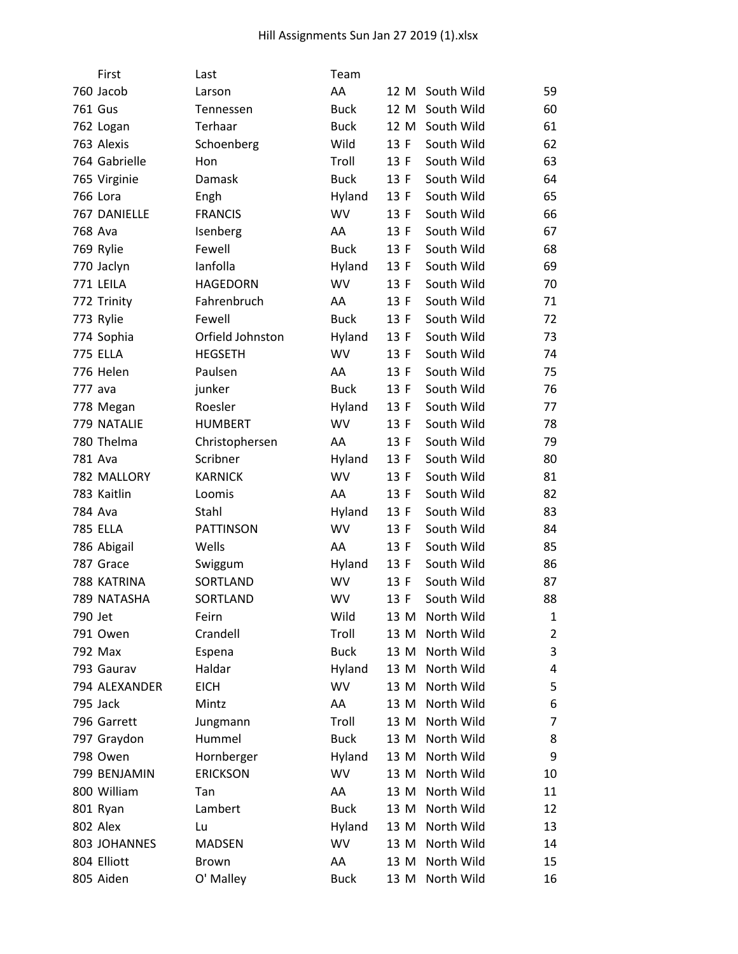|         | First           | Last             | Team        |      |            |    |
|---------|-----------------|------------------|-------------|------|------------|----|
|         | 760 Jacob       | Larson           | AA          | 12 M | South Wild | 59 |
|         | <b>761 Gus</b>  | Tennessen        | <b>Buck</b> | 12 M | South Wild | 60 |
|         | 762 Logan       | Terhaar          | <b>Buck</b> | 12 M | South Wild | 61 |
|         | 763 Alexis      | Schoenberg       | Wild        | 13 F | South Wild | 62 |
|         | 764 Gabrielle   | Hon              | Troll       | 13 F | South Wild | 63 |
|         | 765 Virginie    | Damask           | <b>Buck</b> | 13 F | South Wild | 64 |
|         | 766 Lora        | Engh             | Hyland      | 13 F | South Wild | 65 |
|         | 767 DANIELLE    | <b>FRANCIS</b>   | WV          | 13 F | South Wild | 66 |
|         | 768 Ava         | Isenberg         | AA          | 13 F | South Wild | 67 |
|         | 769 Rylie       | Fewell           | <b>Buck</b> | 13 F | South Wild | 68 |
|         | 770 Jaclyn      | lanfolla         | Hyland      | 13 F | South Wild | 69 |
|         | 771 LEILA       | <b>HAGEDORN</b>  | <b>WV</b>   | 13 F | South Wild | 70 |
|         | 772 Trinity     | Fahrenbruch      | AA          | 13 F | South Wild | 71 |
|         | 773 Rylie       | Fewell           | <b>Buck</b> | 13 F | South Wild | 72 |
|         | 774 Sophia      | Orfield Johnston | Hyland      | 13 F | South Wild | 73 |
|         | <b>775 ELLA</b> | <b>HEGSETH</b>   | WV          | 13 F | South Wild | 74 |
|         | 776 Helen       | Paulsen          | AA          | 13 F | South Wild | 75 |
|         | 777 ava         | junker           | <b>Buck</b> | 13 F | South Wild | 76 |
|         | 778 Megan       | Roesler          | Hyland      | 13 F | South Wild | 77 |
|         | 779 NATALIE     | <b>HUMBERT</b>   | WV          | 13 F | South Wild | 78 |
|         | 780 Thelma      | Christophersen   | AA          | 13 F | South Wild | 79 |
|         | 781 Ava         | Scribner         | Hyland      | 13 F | South Wild | 80 |
|         | 782 MALLORY     | <b>KARNICK</b>   | WV          | 13 F | South Wild | 81 |
|         | 783 Kaitlin     | Loomis           | AA          | 13 F | South Wild | 82 |
|         | 784 Ava         | Stahl            | Hyland      | 13 F | South Wild | 83 |
|         | <b>785 ELLA</b> | <b>PATTINSON</b> | <b>WV</b>   | 13 F | South Wild | 84 |
|         | 786 Abigail     | Wells            | AA          | 13 F | South Wild | 85 |
|         | 787 Grace       | Swiggum          | Hyland      | 13 F | South Wild | 86 |
|         | 788 KATRINA     | SORTLAND         | WV          | 13 F | South Wild | 87 |
|         | 789 NATASHA     | SORTLAND         | WV          | 13 F | South Wild | 88 |
| 790 Jet |                 | Feirn            | Wild        | 13 M | North Wild | 1  |
|         | 791 Owen        | Crandell         | Troll       | 13 M | North Wild | 2  |
|         | 792 Max         | Espena           | <b>Buck</b> | 13 M | North Wild | 3  |
|         | 793 Gaurav      | Haldar           | Hyland      | 13 M | North Wild | 4  |
|         | 794 ALEXANDER   | <b>EICH</b>      | WV          | 13 M | North Wild | 5  |
|         | 795 Jack        | Mintz            | AA          | 13 M | North Wild | 6  |
|         | 796 Garrett     | Jungmann         | Troll       | 13 M | North Wild | 7  |
|         | 797 Graydon     | Hummel           | <b>Buck</b> | 13 M | North Wild | 8  |
|         | 798 Owen        | Hornberger       | Hyland      | 13 M | North Wild | 9  |
|         | 799 BENJAMIN    | <b>ERICKSON</b>  | WV          | 13 M | North Wild | 10 |
|         | 800 William     | Tan              | AA          | 13 M | North Wild | 11 |
|         | 801 Ryan        | Lambert          | <b>Buck</b> | 13 M | North Wild | 12 |
|         | 802 Alex        | Lu               | Hyland      | 13 M | North Wild | 13 |
|         | 803 JOHANNES    | <b>MADSEN</b>    | WV          | 13 M | North Wild | 14 |
|         | 804 Elliott     | Brown            | AA          | 13 M | North Wild | 15 |
|         | 805 Aiden       | O' Malley        | <b>Buck</b> | 13 M | North Wild | 16 |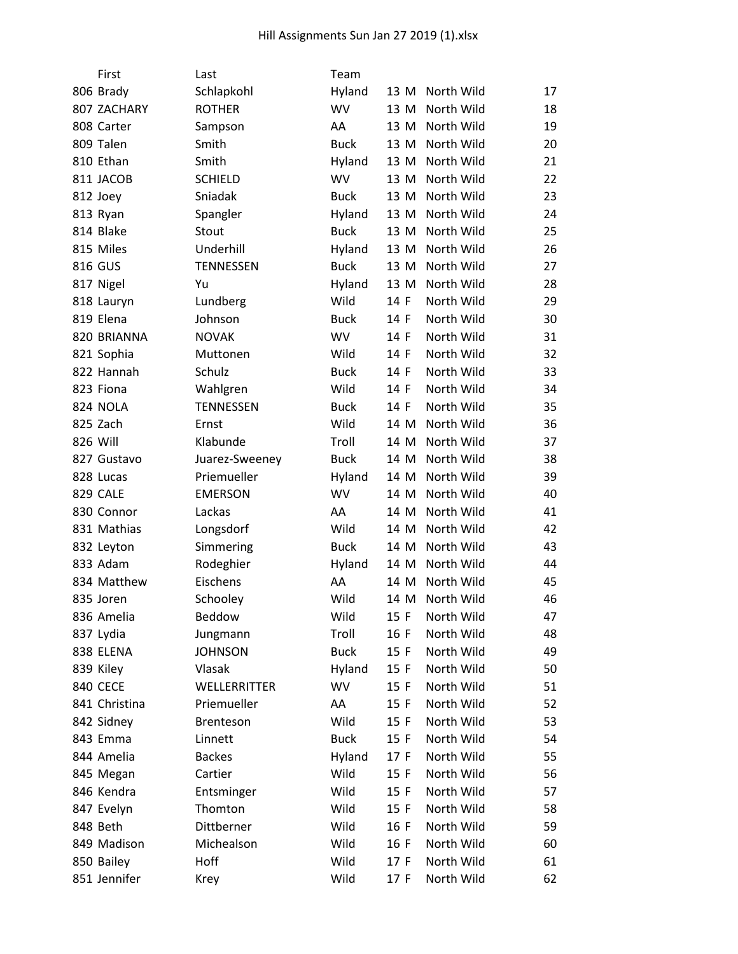| First           | Last             | Team        |      |            |    |
|-----------------|------------------|-------------|------|------------|----|
| 806 Brady       | Schlapkohl       | Hyland      | 13 M | North Wild | 17 |
| 807 ZACHARY     | <b>ROTHER</b>    | <b>WV</b>   | 13 M | North Wild | 18 |
| 808 Carter      | Sampson          | AA          | 13 M | North Wild | 19 |
| 809 Talen       | Smith            | <b>Buck</b> | 13 M | North Wild | 20 |
| 810 Ethan       | Smith            | Hyland      | 13 M | North Wild | 21 |
| 811 JACOB       | <b>SCHIELD</b>   | <b>WV</b>   | 13 M | North Wild | 22 |
| 812 Joey        | Sniadak          | <b>Buck</b> | 13 M | North Wild | 23 |
| 813 Ryan        | Spangler         | Hyland      | 13 M | North Wild | 24 |
| 814 Blake       | Stout            | <b>Buck</b> | 13 M | North Wild | 25 |
| 815 Miles       | Underhill        | Hyland      | 13 M | North Wild | 26 |
| 816 GUS         | <b>TENNESSEN</b> | <b>Buck</b> | 13 M | North Wild | 27 |
| 817 Nigel       | Yu               | Hyland      | 13 M | North Wild | 28 |
| 818 Lauryn      | Lundberg         | Wild        | 14 F | North Wild | 29 |
| 819 Elena       | Johnson          | <b>Buck</b> | 14 F | North Wild | 30 |
| 820 BRIANNA     | <b>NOVAK</b>     | <b>WV</b>   | 14 F | North Wild | 31 |
| 821 Sophia      | Muttonen         | Wild        | 14 F | North Wild | 32 |
| 822 Hannah      | Schulz           | <b>Buck</b> | 14 F | North Wild | 33 |
| 823 Fiona       | Wahlgren         | Wild        | 14 F | North Wild | 34 |
| 824 NOLA        | <b>TENNESSEN</b> | <b>Buck</b> | 14 F | North Wild | 35 |
| 825 Zach        | Ernst            | Wild        | 14 M | North Wild | 36 |
| 826 Will        | Klabunde         | Troll       | 14 M | North Wild | 37 |
| 827 Gustavo     | Juarez-Sweeney   | <b>Buck</b> | 14 M | North Wild | 38 |
| 828 Lucas       | Priemueller      | Hyland      | 14 M | North Wild | 39 |
| <b>829 CALE</b> | <b>EMERSON</b>   | <b>WV</b>   | 14 M | North Wild | 40 |
| 830 Connor      | Lackas           | AA          | 14 M | North Wild | 41 |
| 831 Mathias     | Longsdorf        | Wild        | 14 M | North Wild | 42 |
| 832 Leyton      | Simmering        | <b>Buck</b> | 14 M | North Wild | 43 |
| 833 Adam        | Rodeghier        | Hyland      | 14 M | North Wild | 44 |
| 834 Matthew     | Eischens         | AA          | 14 M | North Wild | 45 |
| 835 Joren       | Schooley         | Wild        | 14 M | North Wild | 46 |
| 836 Amelia      | Beddow           | Wild        | 15 F | North Wild | 47 |
| 837 Lydia       | Jungmann         | Troll       | 16 F | North Wild | 48 |
| 838 ELENA       | <b>JOHNSON</b>   | <b>Buck</b> | 15 F | North Wild | 49 |
| 839 Kiley       | Vlasak           | Hyland      | 15 F | North Wild | 50 |
| 840 CECE        | WELLERRITTER     | WV          | 15 F | North Wild | 51 |
| 841 Christina   | Priemueller      | AA          | 15 F | North Wild | 52 |
| 842 Sidney      | <b>Brenteson</b> | Wild        | 15 F | North Wild | 53 |
| 843 Emma        | Linnett          | <b>Buck</b> | 15 F | North Wild | 54 |
| 844 Amelia      | <b>Backes</b>    | Hyland      | 17 F | North Wild | 55 |
| 845 Megan       | Cartier          | Wild        | 15 F | North Wild | 56 |
| 846 Kendra      | Entsminger       | Wild        | 15 F | North Wild | 57 |
| 847 Evelyn      | Thomton          | Wild        | 15 F | North Wild | 58 |
| 848 Beth        | Dittberner       | Wild        | 16 F | North Wild | 59 |
| 849 Madison     | Michealson       | Wild        | 16 F | North Wild | 60 |
| 850 Bailey      | Hoff             | Wild        | 17 F | North Wild | 61 |
| 851 Jennifer    | Krey             | Wild        | 17 F | North Wild | 62 |